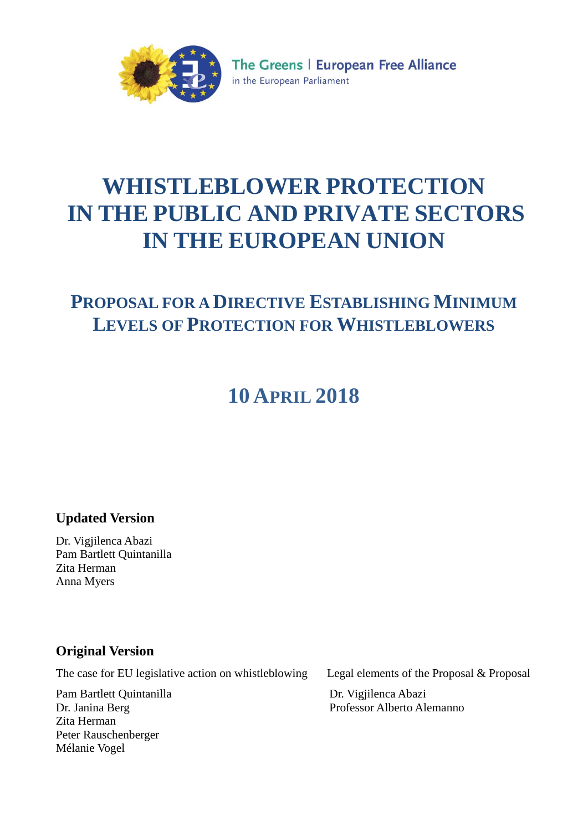

The Greens | European Free Alliance in the European Parliament

# **WHISTLEBLOWER PROTECTION IN THE PUBLIC AND PRIVATE SECTORS IN THE EUROPEAN UNION**

# **PROPOSAL FOR A DIRECTIVE ESTABLISHING MINIMUM LEVELS OF PROTECTION FOR WHISTLEBLOWERS**

# **10 APRIL 2018**

# **Updated Version**

Dr. Vigjilenca Abazi Pam Bartlett Quintanilla Zita Herman Anna Myers

# **Original Version**

The case for EU legislative action on whistleblowing Legal elements of the Proposal & Proposal

Pam Bartlett Quintanilla Dr. Janina Berg Zita Herman Peter Rauschenberger Mélanie Vogel

Dr. Vigjilenca Abazi Professor Alberto Alemanno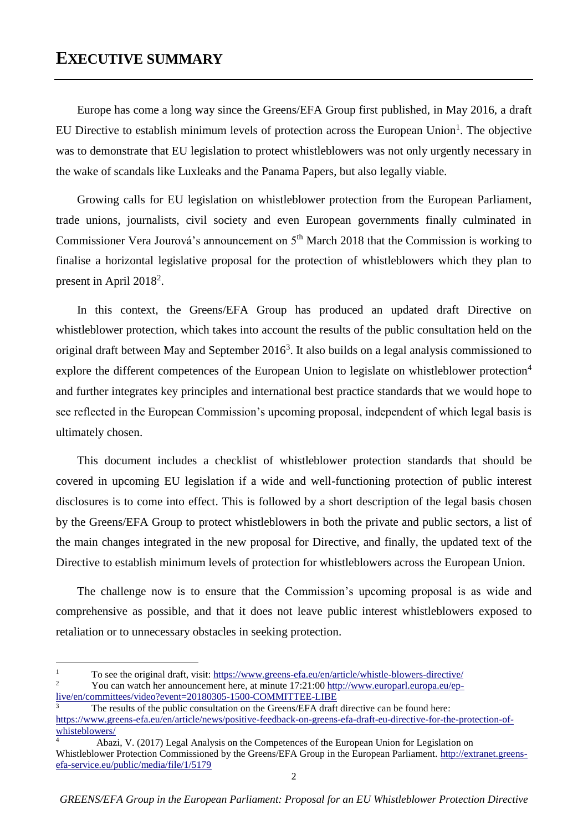# **EXECUTIVE SUMMARY**

Europe has come a long way since the Greens/EFA Group first published, in May 2016, a draft EU Directive to establish minimum levels of protection across the European Union<sup>1</sup>. The objective was to demonstrate that EU legislation to protect whistleblowers was not only urgently necessary in the wake of scandals like Luxleaks and the Panama Papers, but also legally viable.

Growing calls for EU legislation on whistleblower protection from the European Parliament, trade unions, journalists, civil society and even European governments finally culminated in Commissioner Vera Jourová's announcement on 5<sup>th</sup> March 2018 that the Commission is working to finalise a horizontal legislative proposal for the protection of whistleblowers which they plan to present in April 2018<sup>2</sup>.

In this context, the Greens/EFA Group has produced an updated draft Directive on whistleblower protection, which takes into account the results of the public consultation held on the original draft between May and September 2016<sup>3</sup>. It also builds on a legal analysis commissioned to explore the different competences of the European Union to legislate on whistleblower protection<sup>4</sup> and further integrates key principles and international best practice standards that we would hope to see reflected in the European Commission's upcoming proposal, independent of which legal basis is ultimately chosen.

This document includes a checklist of whistleblower protection standards that should be covered in upcoming EU legislation if a wide and well-functioning protection of public interest disclosures is to come into effect. This is followed by a short description of the legal basis chosen by the Greens/EFA Group to protect whistleblowers in both the private and public sectors, a list of the main changes integrated in the new proposal for Directive, and finally, the updated text of the Directive to establish minimum levels of protection for whistleblowers across the European Union.

The challenge now is to ensure that the Commission's upcoming proposal is as wide and comprehensive as possible, and that it does not leave public interest whistleblowers exposed to retaliation or to unnecessary obstacles in seeking protection.

1

<sup>&</sup>lt;sup>1</sup> To see the original draft, visit:<https://www.greens-efa.eu/en/article/whistle-blowers-directive/><br><sup>2</sup> Nov een wateb her ennouncement here, et minute 17:21:00 http://www.greensel.greene.gr/cn <sup>2</sup> You can watch her announcement here, at minute 17:21:00 [http://www.europarl.europa.eu/ep-](http://www.europarl.europa.eu/ep-live/en/committees/video?event=20180305-1500-COMMITTEE-LIBE)

[live/en/committees/video?event=20180305-1500-COMMITTEE-LIBE](http://www.europarl.europa.eu/ep-live/en/committees/video?event=20180305-1500-COMMITTEE-LIBE)

The results of the public consultation on the Greens/EFA draft directive can be found here: [https://www.greens-efa.eu/en/article/news/positive-feedback-on-greens-efa-draft-eu-directive-for-the-protection-of](https://www.greens-efa.eu/en/article/news/positive-feedback-on-greens-efa-draft-eu-directive-for-the-protection-of-whisteblowers/)[whisteblowers/](https://www.greens-efa.eu/en/article/news/positive-feedback-on-greens-efa-draft-eu-directive-for-the-protection-of-whisteblowers/)

<sup>4</sup> Abazi, V. (2017) Legal Analysis on the Competences of the European Union for Legislation on Whistleblower Protection Commissioned by the Greens/EFA Group in the European Parliament. [http://extranet.greens](http://extranet.greens-efa-service.eu/public/media/file/1/5179)[efa-service.eu/public/media/file/1/5179](http://extranet.greens-efa-service.eu/public/media/file/1/5179)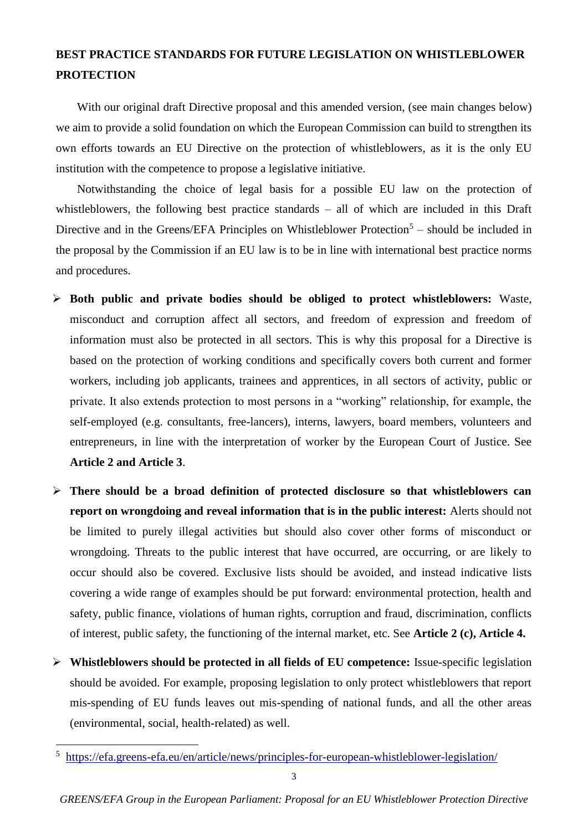# **BEST PRACTICE STANDARDS FOR FUTURE LEGISLATION ON WHISTLEBLOWER PROTECTION**

With our original draft Directive proposal and this amended version, (see main changes below) we aim to provide a solid foundation on which the European Commission can build to strengthen its own efforts towards an EU Directive on the protection of whistleblowers, as it is the only EU institution with the competence to propose a legislative initiative.

Notwithstanding the choice of legal basis for a possible EU law on the protection of whistleblowers, the following best practice standards – all of which are included in this Draft Directive and in the Greens/EFA Principles on Whistleblower Protection<sup>5</sup> – should be included in the proposal by the Commission if an EU law is to be in line with international best practice norms and procedures.

- **Both public and private bodies should be obliged to protect whistleblowers:** Waste, misconduct and corruption affect all sectors, and freedom of expression and freedom of information must also be protected in all sectors. This is why this proposal for a Directive is based on the protection of working conditions and specifically covers both current and former workers, including job applicants, trainees and apprentices, in all sectors of activity, public or private. It also extends protection to most persons in a "working" relationship, for example, the self-employed (e.g. consultants, free-lancers), interns, lawyers, board members, volunteers and entrepreneurs, in line with the interpretation of worker by the European Court of Justice. See **Article 2 and Article 3**.
- **There should be a broad definition of protected disclosure so that whistleblowers can report on wrongdoing and reveal information that is in the public interest:** Alerts should not be limited to purely illegal activities but should also cover other forms of misconduct or wrongdoing. Threats to the public interest that have occurred, are occurring, or are likely to occur should also be covered. Exclusive lists should be avoided, and instead indicative lists covering a wide range of examples should be put forward: environmental protection, health and safety, public finance, violations of human rights, corruption and fraud, discrimination, conflicts of interest, public safety, the functioning of the internal market, etc. See **Article 2 (c), Article 4.**
- **Whistleblowers should be protected in all fields of EU competence:** Issue-specific legislation should be avoided. For example, proposing legislation to only protect whistleblowers that report mis-spending of EU funds leaves out mis-spending of national funds, and all the other areas (environmental, social, health-related) as well.

1

<sup>5</sup> <https://efa.greens-efa.eu/en/article/news/principles-for-european-whistleblower-legislation/>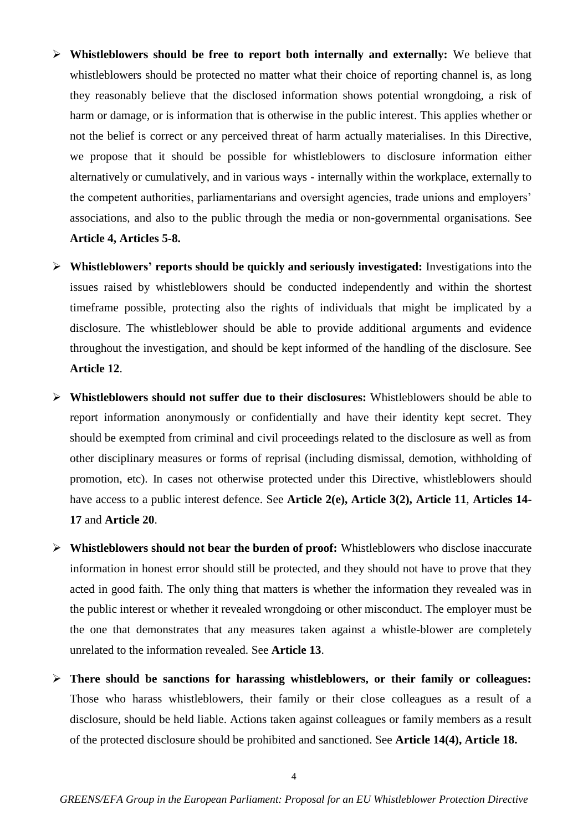- **Whistleblowers should be free to report both internally and externally:** We believe that whistleblowers should be protected no matter what their choice of reporting channel is, as long they reasonably believe that the disclosed information shows potential wrongdoing, a risk of harm or damage, or is information that is otherwise in the public interest. This applies whether or not the belief is correct or any perceived threat of harm actually materialises. In this Directive, we propose that it should be possible for whistleblowers to disclosure information either alternatively or cumulatively, and in various ways - internally within the workplace, externally to the competent authorities, parliamentarians and oversight agencies, trade unions and employers' associations, and also to the public through the media or non-governmental organisations. See **Article 4, Articles 5-8.**
- **Whistleblowers' reports should be quickly and seriously investigated:** Investigations into the issues raised by whistleblowers should be conducted independently and within the shortest timeframe possible, protecting also the rights of individuals that might be implicated by a disclosure. The whistleblower should be able to provide additional arguments and evidence throughout the investigation, and should be kept informed of the handling of the disclosure. See **Article 12**.
- **Whistleblowers should not suffer due to their disclosures:** Whistleblowers should be able to report information anonymously or confidentially and have their identity kept secret. They should be exempted from criminal and civil proceedings related to the disclosure as well as from other disciplinary measures or forms of reprisal (including dismissal, demotion, withholding of promotion, etc). In cases not otherwise protected under this Directive, whistleblowers should have access to a public interest defence. See **Article 2(e), Article 3(2), Article 11**, **Articles 14- 17** and **Article 20**.
- **Whistleblowers should not bear the burden of proof:** Whistleblowers who disclose inaccurate information in honest error should still be protected, and they should not have to prove that they acted in good faith. The only thing that matters is whether the information they revealed was in the public interest or whether it revealed wrongdoing or other misconduct. The employer must be the one that demonstrates that any measures taken against a whistle-blower are completely unrelated to the information revealed. See **Article 13**.
- **There should be sanctions for harassing whistleblowers, or their family or colleagues:**  Those who harass whistleblowers, their family or their close colleagues as a result of a disclosure, should be held liable. Actions taken against colleagues or family members as a result of the protected disclosure should be prohibited and sanctioned. See **Article 14(4), Article 18.**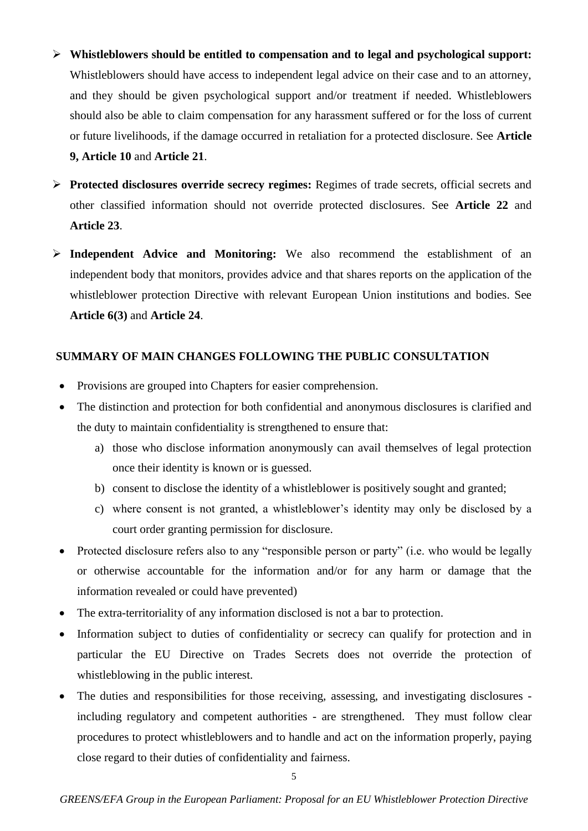- **Whistleblowers should be entitled to compensation and to legal and psychological support:**  Whistleblowers should have access to independent legal advice on their case and to an attorney, and they should be given psychological support and/or treatment if needed. Whistleblowers should also be able to claim compensation for any harassment suffered or for the loss of current or future livelihoods, if the damage occurred in retaliation for a protected disclosure. See **Article 9, Article 10** and **Article 21**.
- **Protected disclosures override secrecy regimes:** Regimes of trade secrets, official secrets and other classified information should not override protected disclosures. See **Article 22** and **Article 23**.
- **Independent Advice and Monitoring:** We also recommend the establishment of an independent body that monitors, provides advice and that shares reports on the application of the whistleblower protection Directive with relevant European Union institutions and bodies. See **Article 6(3)** and **Article 24**.

### **SUMMARY OF MAIN CHANGES FOLLOWING THE PUBLIC CONSULTATION**

- Provisions are grouped into Chapters for easier comprehension.
- The distinction and protection for both confidential and anonymous disclosures is clarified and the duty to maintain confidentiality is strengthened to ensure that:
	- a) those who disclose information anonymously can avail themselves of legal protection once their identity is known or is guessed.
	- b) consent to disclose the identity of a whistleblower is positively sought and granted;
	- c) where consent is not granted, a whistleblower's identity may only be disclosed by a court order granting permission for disclosure.
- Protected disclosure refers also to any "responsible person or party" (i.e. who would be legally or otherwise accountable for the information and/or for any harm or damage that the information revealed or could have prevented)
- The extra-territoriality of any information disclosed is not a bar to protection.
- Information subject to duties of confidentiality or secrecy can qualify for protection and in particular the EU Directive on Trades Secrets does not override the protection of whistleblowing in the public interest.
- The duties and responsibilities for those receiving, assessing, and investigating disclosures including regulatory and competent authorities - are strengthened. They must follow clear procedures to protect whistleblowers and to handle and act on the information properly, paying close regard to their duties of confidentiality and fairness.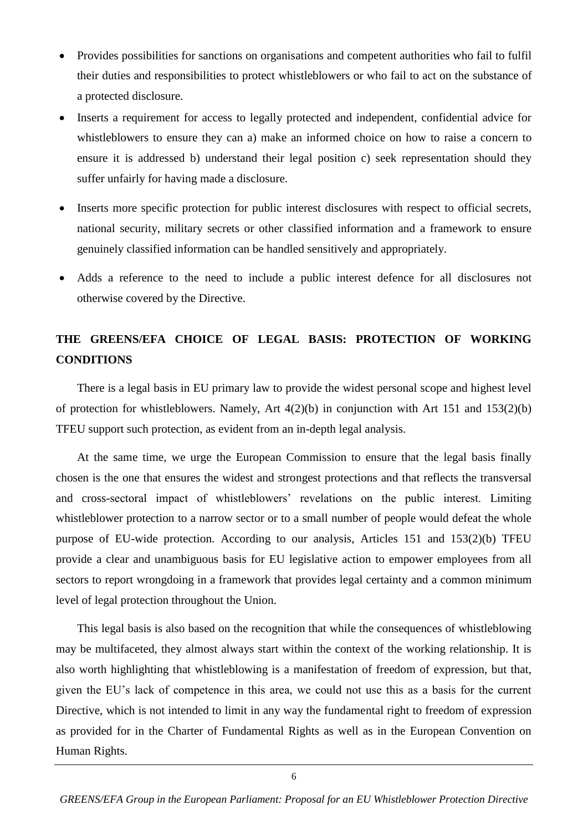- Provides possibilities for sanctions on organisations and competent authorities who fail to fulfil their duties and responsibilities to protect whistleblowers or who fail to act on the substance of a protected disclosure.
- Inserts a requirement for access to legally protected and independent, confidential advice for whistleblowers to ensure they can a) make an informed choice on how to raise a concern to ensure it is addressed b) understand their legal position c) seek representation should they suffer unfairly for having made a disclosure.
- Inserts more specific protection for public interest disclosures with respect to official secrets, national security, military secrets or other classified information and a framework to ensure genuinely classified information can be handled sensitively and appropriately.
- Adds a reference to the need to include a public interest defence for all disclosures not otherwise covered by the Directive.

# **THE GREENS/EFA CHOICE OF LEGAL BASIS: PROTECTION OF WORKING CONDITIONS**

There is a legal basis in EU primary law to provide the widest personal scope and highest level of protection for whistleblowers. Namely, Art 4(2)(b) in conjunction with Art 151 and 153(2)(b) TFEU support such protection, as evident from an in-depth legal analysis.

At the same time, we urge the European Commission to ensure that the legal basis finally chosen is the one that ensures the widest and strongest protections and that reflects the transversal and cross-sectoral impact of whistleblowers' revelations on the public interest. Limiting whistleblower protection to a narrow sector or to a small number of people would defeat the whole purpose of EU-wide protection. According to our analysis, Articles 151 and 153(2)(b) TFEU provide a clear and unambiguous basis for EU legislative action to empower employees from all sectors to report wrongdoing in a framework that provides legal certainty and a common minimum level of legal protection throughout the Union.

This legal basis is also based on the recognition that while the consequences of whistleblowing may be multifaceted, they almost always start within the context of the working relationship. It is also worth highlighting that whistleblowing is a manifestation of freedom of expression, but that, given the EU's lack of competence in this area, we could not use this as a basis for the current Directive, which is not intended to limit in any way the fundamental right to freedom of expression as provided for in the Charter of Fundamental Rights as well as in the European Convention on Human Rights.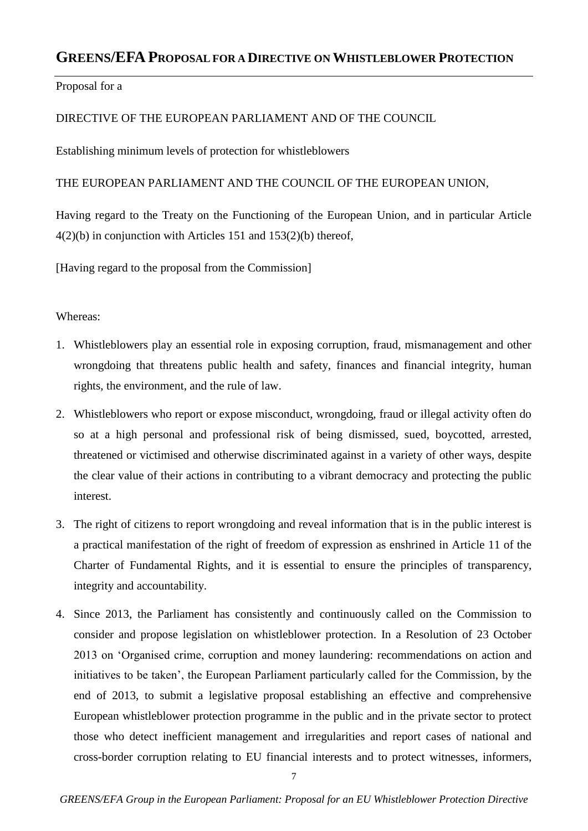# **GREENS/EFA PROPOSAL FOR A DIRECTIVE ON WHISTLEBLOWER PROTECTION**

# Proposal for a

# DIRECTIVE OF THE EUROPEAN PARLIAMENT AND OF THE COUNCIL

Establishing minimum levels of protection for whistleblowers

# THE EUROPEAN PARLIAMENT AND THE COUNCIL OF THE EUROPEAN UNION,

Having regard to the Treaty on the Functioning of the European Union, and in particular Article 4(2)(b) in conjunction with Articles 151 and 153(2)(b) thereof,

[Having regard to the proposal from the Commission]

### Whereas:

- 1. Whistleblowers play an essential role in exposing corruption, fraud, mismanagement and other wrongdoing that threatens public health and safety, finances and financial integrity, human rights, the environment, and the rule of law.
- 2. Whistleblowers who report or expose misconduct, wrongdoing, fraud or illegal activity often do so at a high personal and professional risk of being dismissed, sued, boycotted, arrested, threatened or victimised and otherwise discriminated against in a variety of other ways, despite the clear value of their actions in contributing to a vibrant democracy and protecting the public interest.
- 3. The right of citizens to report wrongdoing and reveal information that is in the public interest is a practical manifestation of the right of freedom of expression as enshrined in Article 11 of the Charter of Fundamental Rights, and it is essential to ensure the principles of transparency, integrity and accountability.
- 4. Since 2013, the Parliament has consistently and continuously called on the Commission to consider and propose legislation on whistleblower protection. In a Resolution of 23 October 2013 on 'Organised crime, corruption and money laundering: recommendations on action and initiatives to be taken', the European Parliament particularly called for the Commission, by the end of 2013, to submit a legislative proposal establishing an effective and comprehensive European whistleblower protection programme in the public and in the private sector to protect those who detect inefficient management and irregularities and report cases of national and cross-border corruption relating to EU financial interests and to protect witnesses, informers,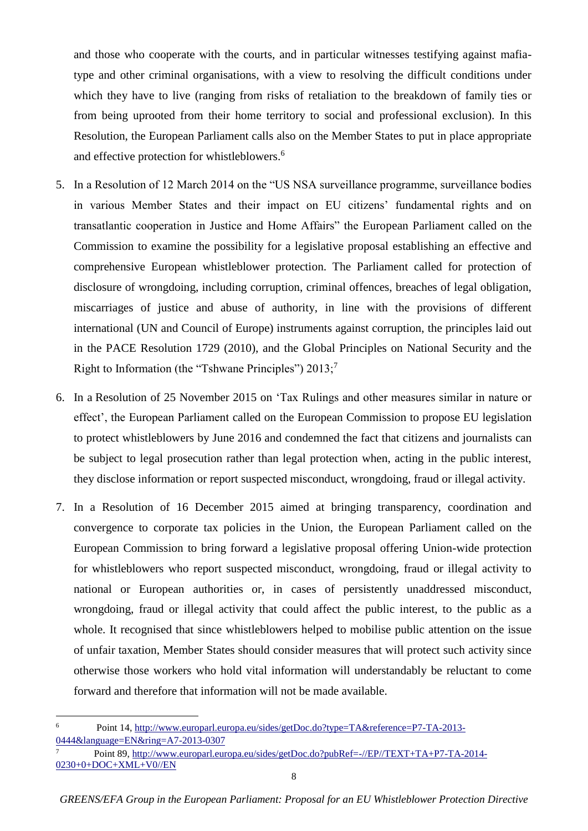and those who cooperate with the courts, and in particular witnesses testifying against mafiatype and other criminal organisations, with a view to resolving the difficult conditions under which they have to live (ranging from risks of retaliation to the breakdown of family ties or from being uprooted from their home territory to social and professional exclusion). In this Resolution, the European Parliament calls also on the Member States to put in place appropriate and effective protection for whistleblowers.<sup>6</sup>

- 5. In a Resolution of 12 March 2014 on the "US NSA surveillance programme, surveillance bodies in various Member States and their impact on EU citizens' fundamental rights and on transatlantic cooperation in Justice and Home Affairs" the European Parliament called on the Commission to examine the possibility for a legislative proposal establishing an effective and comprehensive European whistleblower protection. The Parliament called for protection of disclosure of wrongdoing, including corruption, criminal offences, breaches of legal obligation, miscarriages of justice and abuse of authority, in line with the provisions of different international (UN and Council of Europe) instruments against corruption, the principles laid out in the PACE Resolution 1729 (2010), and the Global Principles on National Security and the Right to Information (the "Tshwane Principles")  $2013$ ;<sup>7</sup>
- 6. In a Resolution of 25 November 2015 on 'Tax Rulings and other measures similar in nature or effect', the European Parliament called on the European Commission to propose EU legislation to protect whistleblowers by June 2016 and condemned the fact that citizens and journalists can be subject to legal prosecution rather than legal protection when, acting in the public interest, they disclose information or report suspected misconduct, wrongdoing, fraud or illegal activity.
- 7. In a Resolution of 16 December 2015 aimed at bringing transparency, coordination and convergence to corporate tax policies in the Union, the European Parliament called on the European Commission to bring forward a legislative proposal offering Union-wide protection for whistleblowers who report suspected misconduct, wrongdoing, fraud or illegal activity to national or European authorities or, in cases of persistently unaddressed misconduct, wrongdoing, fraud or illegal activity that could affect the public interest, to the public as a whole. It recognised that since whistleblowers helped to mobilise public attention on the issue of unfair taxation, Member States should consider measures that will protect such activity since otherwise those workers who hold vital information will understandably be reluctant to come forward and therefore that information will not be made available.

1

<sup>6</sup> Point 14, [http://www.europarl.europa.eu/sides/getDoc.do?type=TA&reference=P7-TA-2013-](http://www.europarl.europa.eu/sides/getDoc.do?type=TA&reference=P7-TA-2013-0444&language=EN&ring=A7-2013-0307) [0444&language=EN&ring=A7-2013-0307](http://www.europarl.europa.eu/sides/getDoc.do?type=TA&reference=P7-TA-2013-0444&language=EN&ring=A7-2013-0307)

<sup>7</sup> Point 89, [http://www.europarl.europa.eu/sides/getDoc.do?pubRef=-//EP//TEXT+TA+P7-TA-2014-](http://www.europarl.europa.eu/sides/getDoc.do?pubRef=-//EP//TEXT+TA+P7-TA-2014-0230+0+DOC+XML+V0//EN) [0230+0+DOC+XML+V0//EN](http://www.europarl.europa.eu/sides/getDoc.do?pubRef=-//EP//TEXT+TA+P7-TA-2014-0230+0+DOC+XML+V0//EN)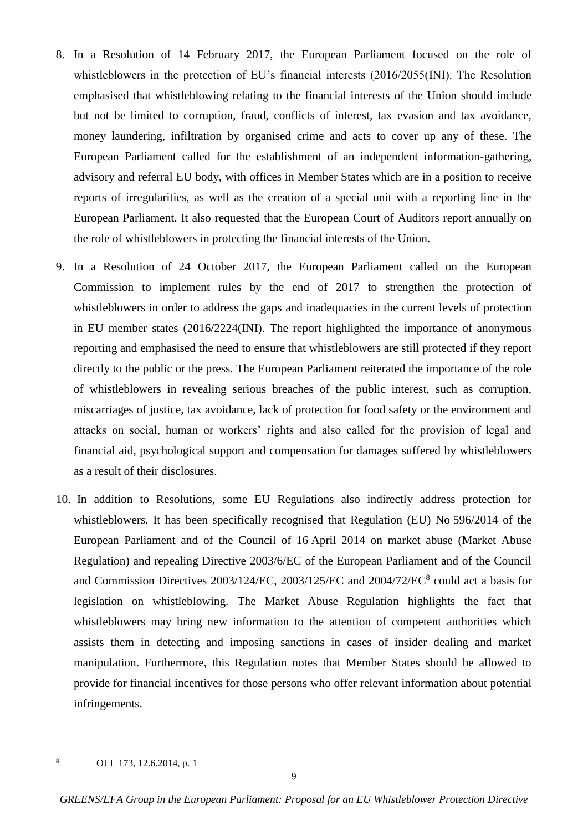- 8. In a Resolution of 14 February 2017, the European Parliament focused on the role of whistleblowers in the protection of EU's financial interests (2016/2055(INI). The Resolution emphasised that whistleblowing relating to the financial interests of the Union should include but not be limited to corruption, fraud, conflicts of interest, tax evasion and tax avoidance, money laundering, infiltration by organised crime and acts to cover up any of these. The European Parliament called for the establishment of an independent information-gathering, advisory and referral EU body, with offices in Member States which are in a position to receive reports of irregularities, as well as the creation of a special unit with a reporting line in the European Parliament. It also requested that the European Court of Auditors report annually on the role of whistleblowers in protecting the financial interests of the Union.
- 9. In a Resolution of 24 October 2017, the European Parliament called on the European Commission to implement rules by the end of 2017 to strengthen the protection of whistleblowers in order to address the gaps and inadequacies in the current levels of protection in EU member states (2016/2224(INI). The report highlighted the importance of anonymous reporting and emphasised the need to ensure that whistleblowers are still protected if they report directly to the public or the press. The European Parliament reiterated the importance of the role of whistleblowers in revealing serious breaches of the public interest, such as corruption, miscarriages of justice, tax avoidance, lack of protection for food safety or the environment and attacks on social, human or workers' rights and also called for the provision of legal and financial aid, psychological support and compensation for damages suffered by whistleblowers as a result of their disclosures.
- 10. In addition to Resolutions, some EU Regulations also indirectly address protection for whistleblowers. It has been specifically recognised that Regulation (EU) No 596/2014 of the European Parliament and of the Council of 16 April 2014 on market abuse (Market Abuse Regulation) and repealing Directive 2003/6/EC of the European Parliament and of the Council and Commission Directives 2003/124/EC, 2003/125/EC and 2004/72/EC<sup>8</sup> could act a basis for legislation on whistleblowing. The Market Abuse Regulation highlights the fact that whistleblowers may bring new information to the attention of competent authorities which assists them in detecting and imposing sanctions in cases of insider dealing and market manipulation. Furthermore, this Regulation notes that Member States should be allowed to provide for financial incentives for those persons who offer relevant information about potential infringements.

 $\frac{1}{8}$ 

OJ L 173, 12.6.2014, p. 1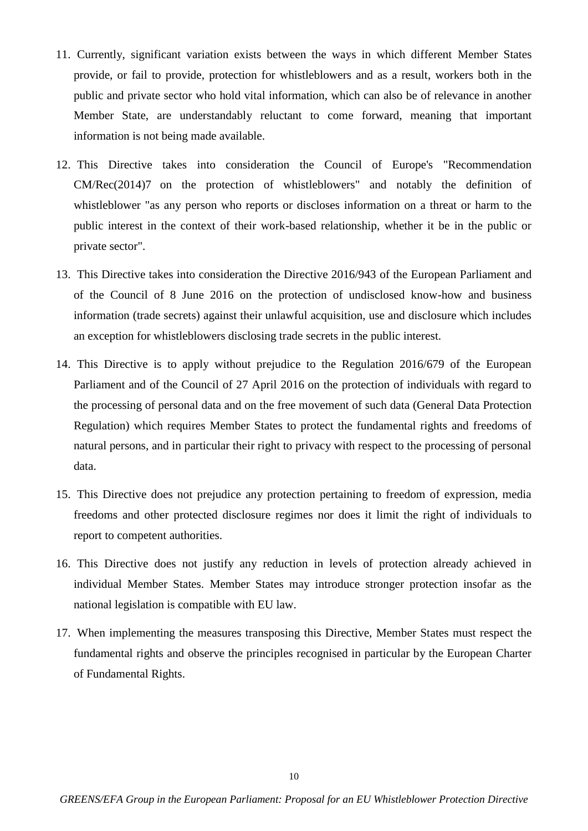- 11. Currently, significant variation exists between the ways in which different Member States provide, or fail to provide, protection for whistleblowers and as a result, workers both in the public and private sector who hold vital information, which can also be of relevance in another Member State, are understandably reluctant to come forward, meaning that important information is not being made available.
- 12. This Directive takes into consideration the Council of Europe's "Recommendation CM/Rec(2014)7 on the protection of whistleblowers" and notably the definition of whistleblower "as any person who reports or discloses information on a threat or harm to the public interest in the context of their work-based relationship, whether it be in the public or private sector".
- 13. This Directive takes into consideration the Directive 2016/943 of the European Parliament and of the Council of 8 June 2016 on the protection of undisclosed know-how and business information (trade secrets) against their unlawful acquisition, use and disclosure which includes an exception for whistleblowers disclosing trade secrets in the public interest.
- 14. This Directive is to apply without prejudice to the Regulation 2016/679 of the European Parliament and of the Council of 27 April 2016 on the protection of individuals with regard to the processing of personal data and on the free movement of such data (General Data Protection Regulation) which requires Member States to protect the fundamental rights and freedoms of natural persons, and in particular their right to privacy with respect to the processing of personal data.
- 15. This Directive does not prejudice any protection pertaining to freedom of expression, media freedoms and other protected disclosure regimes nor does it limit the right of individuals to report to competent authorities.
- 16. This Directive does not justify any reduction in levels of protection already achieved in individual Member States. Member States may introduce stronger protection insofar as the national legislation is compatible with EU law.
- 17. When implementing the measures transposing this Directive, Member States must respect the fundamental rights and observe the principles recognised in particular by the European Charter of Fundamental Rights.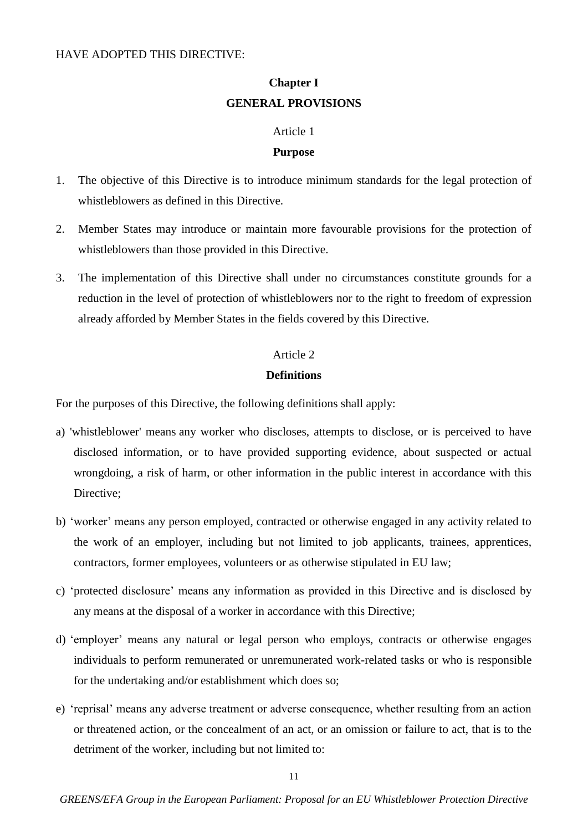### HAVE ADOPTED THIS DIRECTIVE:

# **Chapter I GENERAL PROVISIONS**

### Article 1

### **Purpose**

- 1. The objective of this Directive is to introduce minimum standards for the legal protection of whistleblowers as defined in this Directive.
- 2. Member States may introduce or maintain more favourable provisions for the protection of whistleblowers than those provided in this Directive.
- 3. The implementation of this Directive shall under no circumstances constitute grounds for a reduction in the level of protection of whistleblowers nor to the right to freedom of expression already afforded by Member States in the fields covered by this Directive.

### Article 2

### **Definitions**

For the purposes of this Directive, the following definitions shall apply:

- a) 'whistleblower' means any worker who discloses, attempts to disclose, or is perceived to have disclosed information, or to have provided supporting evidence, about suspected or actual wrongdoing, a risk of harm, or other information in the public interest in accordance with this Directive;
- b) 'worker' means any person employed, contracted or otherwise engaged in any activity related to the work of an employer, including but not limited to job applicants, trainees, apprentices, contractors, former employees, volunteers or as otherwise stipulated in EU law;
- c) 'protected disclosure' means any information as provided in this Directive and is disclosed by any means at the disposal of a worker in accordance with this Directive;
- d) 'employer' means any natural or legal person who employs, contracts or otherwise engages individuals to perform remunerated or unremunerated work-related tasks or who is responsible for the undertaking and/or establishment which does so;
- e) 'reprisal' means any adverse treatment or adverse consequence, whether resulting from an action or threatened action, or the concealment of an act, or an omission or failure to act, that is to the detriment of the worker, including but not limited to: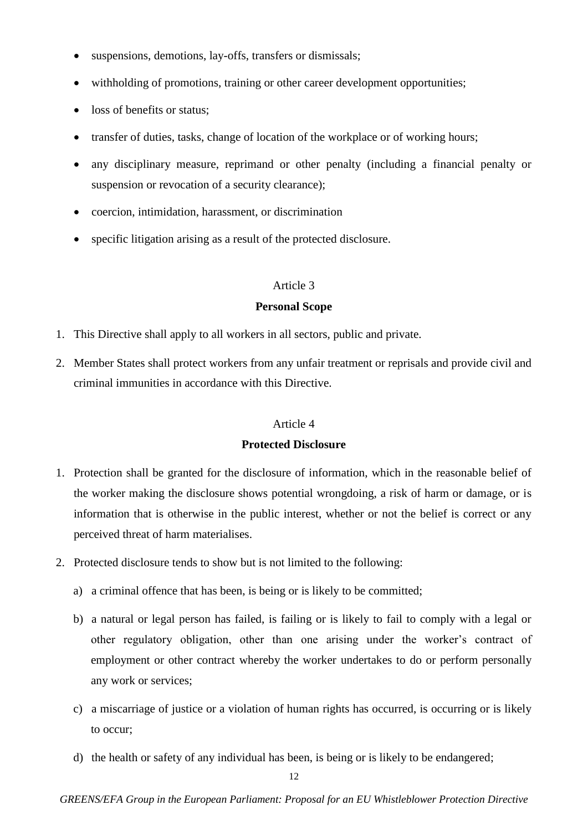- suspensions, demotions, lay-offs, transfers or dismissals;
- withholding of promotions, training or other career development opportunities;
- loss of benefits or status;
- transfer of duties, tasks, change of location of the workplace or of working hours;
- any disciplinary measure, reprimand or other penalty (including a financial penalty or suspension or revocation of a security clearance);
- coercion, intimidation, harassment, or discrimination
- specific litigation arising as a result of the protected disclosure.

### **Personal Scope**

- 1. This Directive shall apply to all workers in all sectors, public and private.
- 2. Member States shall protect workers from any unfair treatment or reprisals and provide civil and criminal immunities in accordance with this Directive.

### Article 4

### **Protected Disclosure**

- 1. Protection shall be granted for the disclosure of information, which in the reasonable belief of the worker making the disclosure shows potential wrongdoing, a risk of harm or damage, or is information that is otherwise in the public interest, whether or not the belief is correct or any perceived threat of harm materialises.
- 2. Protected disclosure tends to show but is not limited to the following:
	- a) a criminal offence that has been, is being or is likely to be committed;
	- b) a natural or legal person has failed, is failing or is likely to fail to comply with a legal or other regulatory obligation, other than one arising under the worker's contract of employment or other contract whereby the worker undertakes to do or perform personally any work or services;
	- c) a miscarriage of justice or a violation of human rights has occurred, is occurring or is likely to occur;
	- d) the health or safety of any individual has been, is being or is likely to be endangered;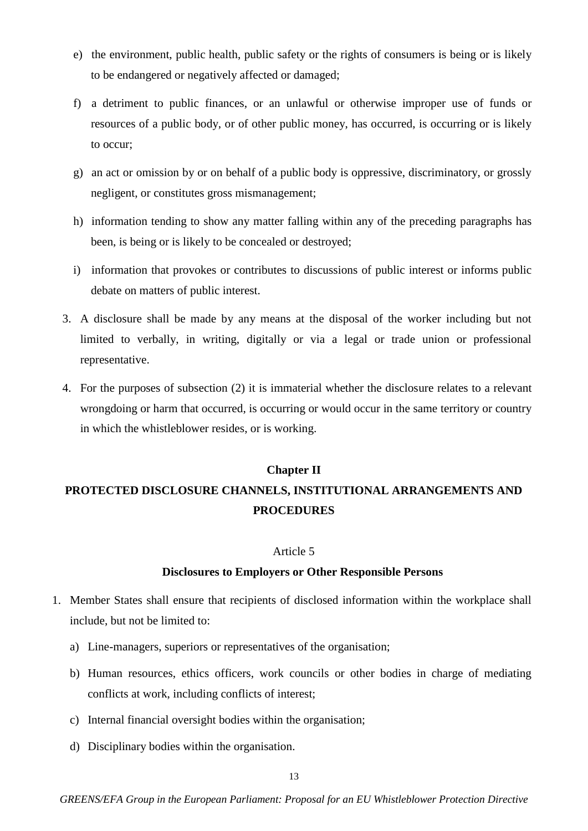- e) the environment, public health, public safety or the rights of consumers is being or is likely to be endangered or negatively affected or damaged;
- f) a detriment to public finances, or an unlawful or otherwise improper use of funds or resources of a public body, or of other public money, has occurred, is occurring or is likely to occur;
- g) an act or omission by or on behalf of a public body is oppressive, discriminatory, or grossly negligent, or constitutes gross mismanagement;
- h) information tending to show any matter falling within any of the preceding paragraphs has been, is being or is likely to be concealed or destroyed;
- i) information that provokes or contributes to discussions of public interest or informs public debate on matters of public interest.
- 3. A disclosure shall be made by any means at the disposal of the worker including but not limited to verbally, in writing, digitally or via a legal or trade union or professional representative.
- 4. For the purposes of subsection (2) it is immaterial whether the disclosure relates to a relevant wrongdoing or harm that occurred, is occurring or would occur in the same territory or country in which the whistleblower resides, or is working.

### **Chapter II**

# **PROTECTED DISCLOSURE CHANNELS, INSTITUTIONAL ARRANGEMENTS AND PROCEDURES**

### Article 5

### **Disclosures to Employers or Other Responsible Persons**

- 1. Member States shall ensure that recipients of disclosed information within the workplace shall include, but not be limited to:
	- a) Line-managers, superiors or representatives of the organisation;
	- b) Human resources, ethics officers, work councils or other bodies in charge of mediating conflicts at work, including conflicts of interest;
	- c) Internal financial oversight bodies within the organisation;
	- d) Disciplinary bodies within the organisation.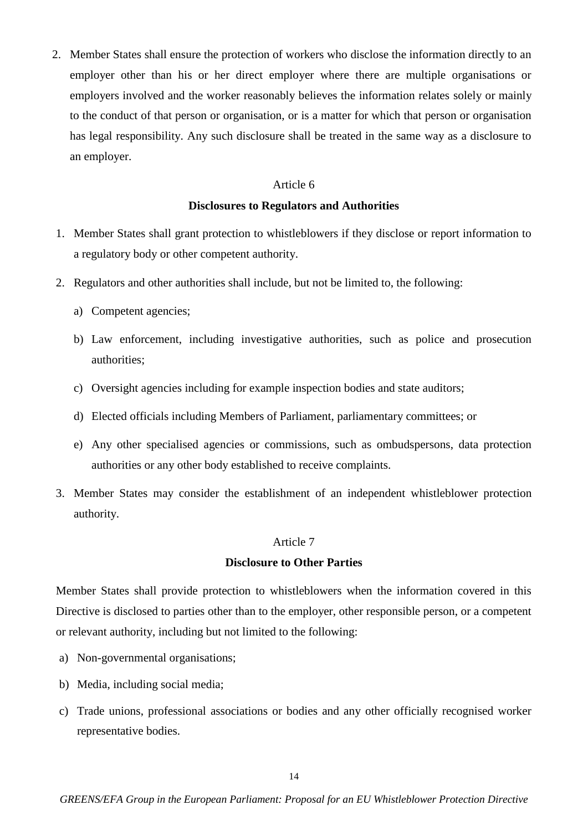2. Member States shall ensure the protection of workers who disclose the information directly to an employer other than his or her direct employer where there are multiple organisations or employers involved and the worker reasonably believes the information relates solely or mainly to the conduct of that person or organisation, or is a matter for which that person or organisation has legal responsibility. Any such disclosure shall be treated in the same way as a disclosure to an employer.

### Article 6

### **Disclosures to Regulators and Authorities**

- 1. Member States shall grant protection to whistleblowers if they disclose or report information to a regulatory body or other competent authority.
- 2. Regulators and other authorities shall include, but not be limited to, the following:
	- a) Competent agencies;
	- b) Law enforcement, including investigative authorities, such as police and prosecution authorities;
	- c) Oversight agencies including for example inspection bodies and state auditors;
	- d) Elected officials including Members of Parliament, parliamentary committees; or
	- e) Any other specialised agencies or commissions, such as ombudspersons, data protection authorities or any other body established to receive complaints.
- 3. Member States may consider the establishment of an independent whistleblower protection authority.

### Article 7

#### **Disclosure to Other Parties**

Member States shall provide protection to whistleblowers when the information covered in this Directive is disclosed to parties other than to the employer, other responsible person, or a competent or relevant authority, including but not limited to the following:

- a) Non-governmental organisations;
- b) Media, including social media;
- c) Trade unions, professional associations or bodies and any other officially recognised worker representative bodies.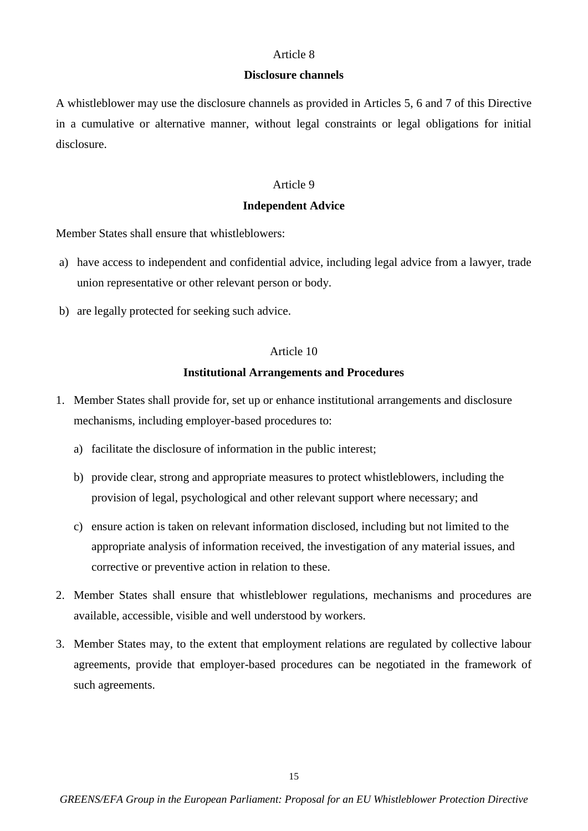#### **Disclosure channels**

A whistleblower may use the disclosure channels as provided in Articles 5, 6 and 7 of this Directive in a cumulative or alternative manner, without legal constraints or legal obligations for initial disclosure.

### Article 9

### **Independent Advice**

Member States shall ensure that whistleblowers:

- a) have access to independent and confidential advice, including legal advice from a lawyer, trade union representative or other relevant person or body.
- b) are legally protected for seeking such advice.

### Article 10

### **Institutional Arrangements and Procedures**

- 1. Member States shall provide for, set up or enhance institutional arrangements and disclosure mechanisms, including employer-based procedures to:
	- a) facilitate the disclosure of information in the public interest;
	- b) provide clear, strong and appropriate measures to protect whistleblowers, including the provision of legal, psychological and other relevant support where necessary; and
	- c) ensure action is taken on relevant information disclosed, including but not limited to the appropriate analysis of information received, the investigation of any material issues, and corrective or preventive action in relation to these.
- 2. Member States shall ensure that whistleblower regulations, mechanisms and procedures are available, accessible, visible and well understood by workers.
- 3. Member States may, to the extent that employment relations are regulated by collective labour agreements, provide that employer-based procedures can be negotiated in the framework of such agreements.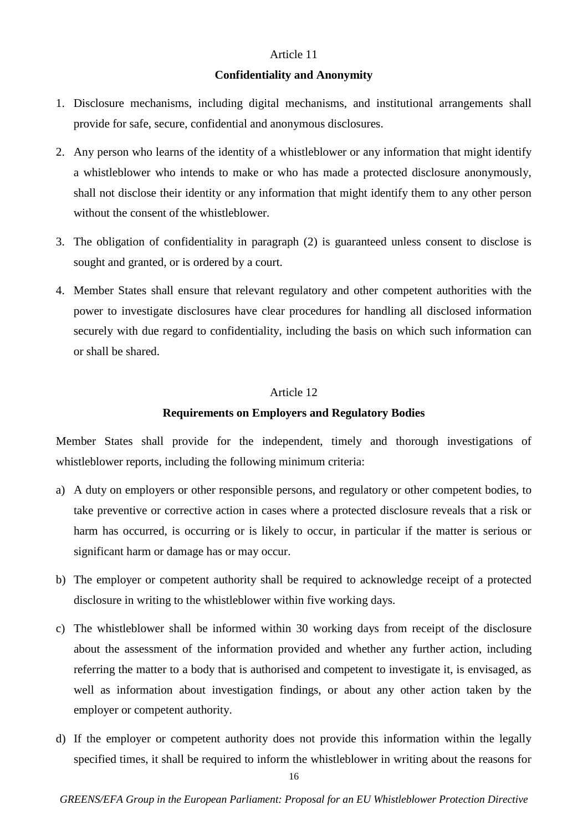#### **Confidentiality and Anonymity**

- 1. Disclosure mechanisms, including digital mechanisms, and institutional arrangements shall provide for safe, secure, confidential and anonymous disclosures.
- 2. Any person who learns of the identity of a whistleblower or any information that might identify a whistleblower who intends to make or who has made a protected disclosure anonymously, shall not disclose their identity or any information that might identify them to any other person without the consent of the whistleblower.
- 3. The obligation of confidentiality in paragraph (2) is guaranteed unless consent to disclose is sought and granted, or is ordered by a court.
- 4. Member States shall ensure that relevant regulatory and other competent authorities with the power to investigate disclosures have clear procedures for handling all disclosed information securely with due regard to confidentiality, including the basis on which such information can or shall be shared.

### Article 12

### **Requirements on Employers and Regulatory Bodies**

Member States shall provide for the independent, timely and thorough investigations of whistleblower reports, including the following minimum criteria:

- a) A duty on employers or other responsible persons, and regulatory or other competent bodies, to take preventive or corrective action in cases where a protected disclosure reveals that a risk or harm has occurred, is occurring or is likely to occur, in particular if the matter is serious or significant harm or damage has or may occur.
- b) The employer or competent authority shall be required to acknowledge receipt of a protected disclosure in writing to the whistleblower within five working days.
- c) The whistleblower shall be informed within 30 working days from receipt of the disclosure about the assessment of the information provided and whether any further action, including referring the matter to a body that is authorised and competent to investigate it, is envisaged, as well as information about investigation findings, or about any other action taken by the employer or competent authority.
- d) If the employer or competent authority does not provide this information within the legally specified times, it shall be required to inform the whistleblower in writing about the reasons for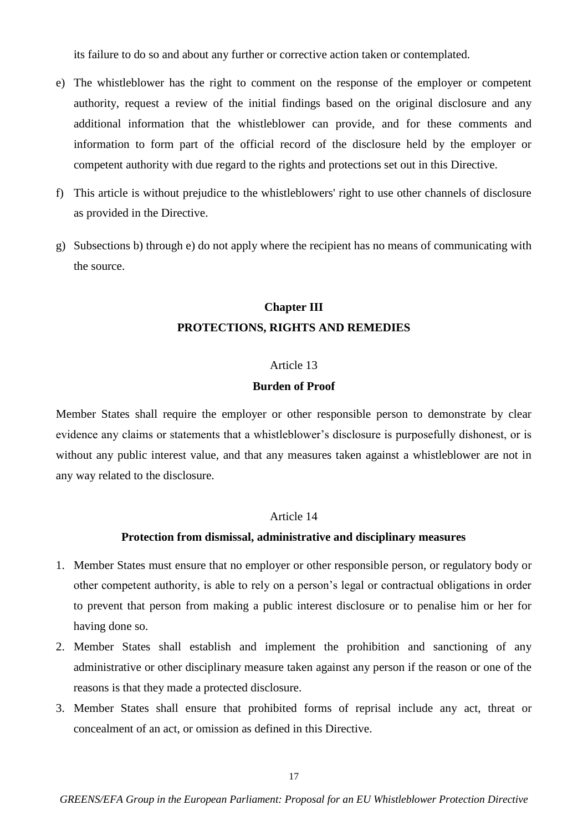its failure to do so and about any further or corrective action taken or contemplated.

- e) The whistleblower has the right to comment on the response of the employer or competent authority, request a review of the initial findings based on the original disclosure and any additional information that the whistleblower can provide, and for these comments and information to form part of the official record of the disclosure held by the employer or competent authority with due regard to the rights and protections set out in this Directive.
- f) This article is without prejudice to the whistleblowers' right to use other channels of disclosure as provided in the Directive.
- g) Subsections b) through e) do not apply where the recipient has no means of communicating with the source.

# **Chapter III PROTECTIONS, RIGHTS AND REMEDIES**

### Article 13

### **Burden of Proof**

Member States shall require the employer or other responsible person to demonstrate by clear evidence any claims or statements that a whistleblower's disclosure is purposefully dishonest, or is without any public interest value, and that any measures taken against a whistleblower are not in any way related to the disclosure.

### Article 14

#### **Protection from dismissal, administrative and disciplinary measures**

- 1. Member States must ensure that no employer or other responsible person, or regulatory body or other competent authority, is able to rely on a person's legal or contractual obligations in order to prevent that person from making a public interest disclosure or to penalise him or her for having done so.
- 2. Member States shall establish and implement the prohibition and sanctioning of any administrative or other disciplinary measure taken against any person if the reason or one of the reasons is that they made a protected disclosure.
- 3. Member States shall ensure that prohibited forms of reprisal include any act, threat or concealment of an act, or omission as defined in this Directive.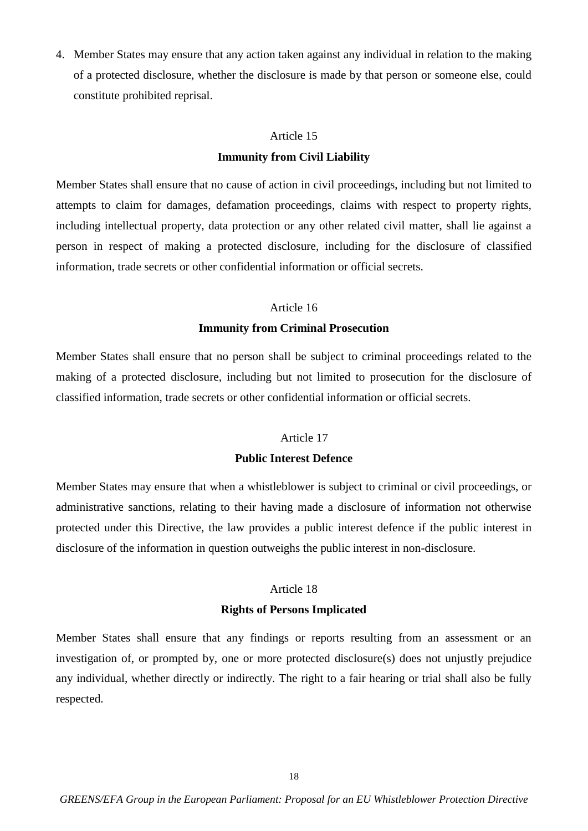4. Member States may ensure that any action taken against any individual in relation to the making of a protected disclosure, whether the disclosure is made by that person or someone else, could constitute prohibited reprisal.

#### Article 15

### **Immunity from Civil Liability**

Member States shall ensure that no cause of action in civil proceedings, including but not limited to attempts to claim for damages, defamation proceedings, claims with respect to property rights, including intellectual property, data protection or any other related civil matter, shall lie against a person in respect of making a protected disclosure, including for the disclosure of classified information, trade secrets or other confidential information or official secrets.

#### Article 16

#### **Immunity from Criminal Prosecution**

Member States shall ensure that no person shall be subject to criminal proceedings related to the making of a protected disclosure, including but not limited to prosecution for the disclosure of classified information, trade secrets or other confidential information or official secrets.

#### Article 17

### **Public Interest Defence**

Member States may ensure that when a whistleblower is subject to criminal or civil proceedings, or administrative sanctions, relating to their having made a disclosure of information not otherwise protected under this Directive, the law provides a public interest defence if the public interest in disclosure of the information in question outweighs the public interest in non-disclosure.

### Article 18

### **Rights of Persons Implicated**

Member States shall ensure that any findings or reports resulting from an assessment or an investigation of, or prompted by, one or more protected disclosure(s) does not unjustly prejudice any individual, whether directly or indirectly. The right to a fair hearing or trial shall also be fully respected.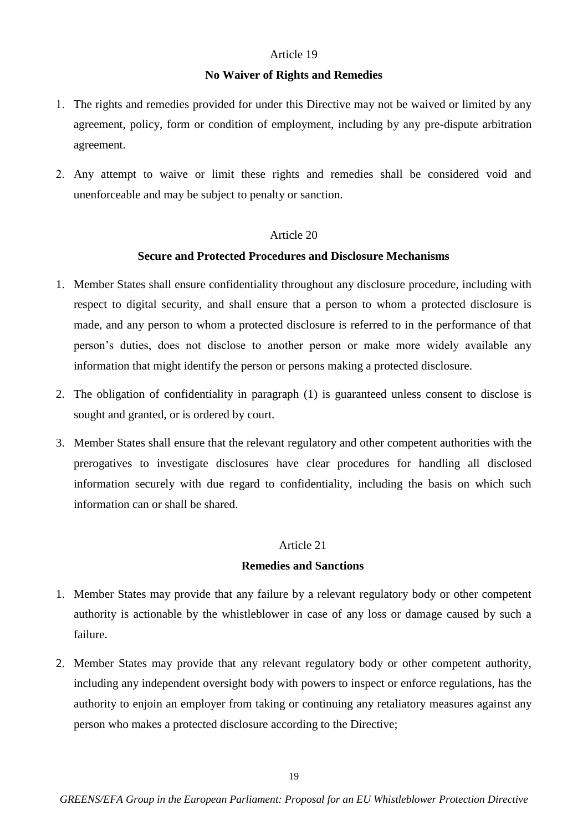### **No Waiver of Rights and Remedies**

- 1. The rights and remedies provided for under this Directive may not be waived or limited by any agreement, policy, form or condition of employment, including by any pre-dispute arbitration agreement.
- Any attempt to waive or limit these rights and remedies shall be considered void and unenforceable and may be subject to penalty or sanction.

# Article 20

### **Secure and Protected Procedures and Disclosure Mechanisms**

- 1. Member States shall ensure confidentiality throughout any disclosure procedure, including with respect to digital security, and shall ensure that a person to whom a protected disclosure is made, and any person to whom a protected disclosure is referred to in the performance of that person's duties, does not disclose to another person or make more widely available any information that might identify the person or persons making a protected disclosure.
- 2. The obligation of confidentiality in paragraph (1) is guaranteed unless consent to disclose is sought and granted, or is ordered by court.
- 3. Member States shall ensure that the relevant regulatory and other competent authorities with the prerogatives to investigate disclosures have clear procedures for handling all disclosed information securely with due regard to confidentiality, including the basis on which such information can or shall be shared.

### Article 21

#### **Remedies and Sanctions**

- 1. Member States may provide that any failure by a relevant regulatory body or other competent authority is actionable by the whistleblower in case of any loss or damage caused by such a failure.
- 2. Member States may provide that any relevant regulatory body or other competent authority, including any independent oversight body with powers to inspect or enforce regulations, has the authority to enjoin an employer from taking or continuing any retaliatory measures against any person who makes a protected disclosure according to the Directive;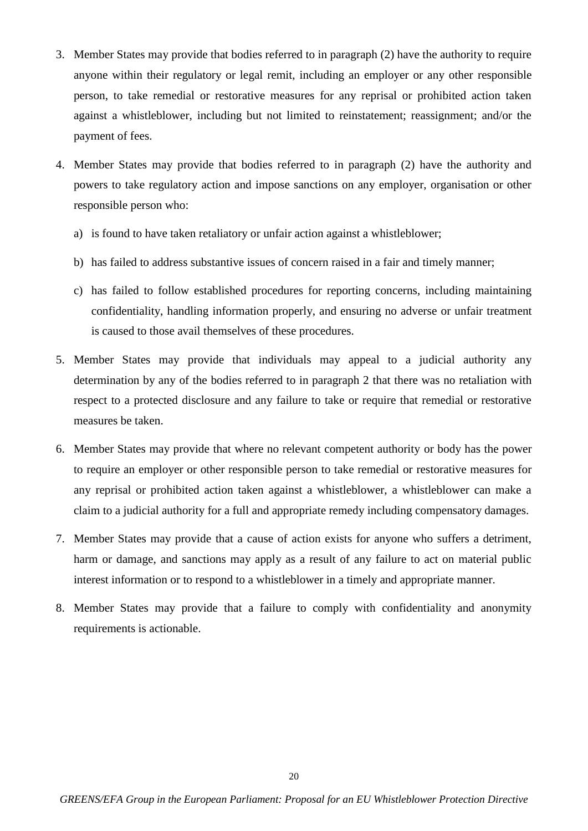- 3. Member States may provide that bodies referred to in paragraph (2) have the authority to require anyone within their regulatory or legal remit, including an employer or any other responsible person, to take remedial or restorative measures for any reprisal or prohibited action taken against a whistleblower, including but not limited to reinstatement; reassignment; and/or the payment of fees.
- 4. Member States may provide that bodies referred to in paragraph (2) have the authority and powers to take regulatory action and impose sanctions on any employer, organisation or other responsible person who:
	- a) is found to have taken retaliatory or unfair action against a whistleblower;
	- b) has failed to address substantive issues of concern raised in a fair and timely manner;
	- c) has failed to follow established procedures for reporting concerns, including maintaining confidentiality, handling information properly, and ensuring no adverse or unfair treatment is caused to those avail themselves of these procedures.
- 5. Member States may provide that individuals may appeal to a judicial authority any determination by any of the bodies referred to in paragraph 2 that there was no retaliation with respect to a protected disclosure and any failure to take or require that remedial or restorative measures be taken.
- 6. Member States may provide that where no relevant competent authority or body has the power to require an employer or other responsible person to take remedial or restorative measures for any reprisal or prohibited action taken against a whistleblower, a whistleblower can make a claim to a judicial authority for a full and appropriate remedy including compensatory damages.
- 7. Member States may provide that a cause of action exists for anyone who suffers a detriment, harm or damage, and sanctions may apply as a result of any failure to act on material public interest information or to respond to a whistleblower in a timely and appropriate manner.
- 8. Member States may provide that a failure to comply with confidentiality and anonymity requirements is actionable.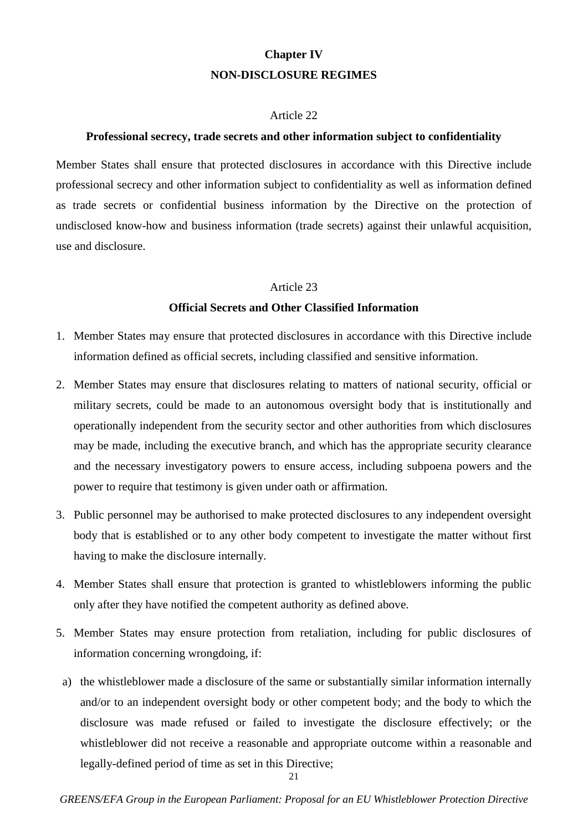# **Chapter IV NON-DISCLOSURE REGIMES**

### Article 22

### **Professional secrecy, trade secrets and other information subject to confidentiality**

Member States shall ensure that protected disclosures in accordance with this Directive include professional secrecy and other information subject to confidentiality as well as information defined as trade secrets or confidential business information by the Directive on the protection of undisclosed know-how and business information (trade secrets) against their unlawful acquisition, use and disclosure.

### Article 23

### **Official Secrets and Other Classified Information**

- 1. Member States may ensure that protected disclosures in accordance with this Directive include information defined as official secrets, including classified and sensitive information.
- 2. Member States may ensure that disclosures relating to matters of national security, official or military secrets, could be made to an autonomous oversight body that is institutionally and operationally independent from the security sector and other authorities from which disclosures may be made, including the executive branch, and which has the appropriate security clearance and the necessary investigatory powers to ensure access, including subpoena powers and the power to require that testimony is given under oath or affirmation.
- 3. Public personnel may be authorised to make protected disclosures to any independent oversight body that is established or to any other body competent to investigate the matter without first having to make the disclosure internally.
- 4. Member States shall ensure that protection is granted to whistleblowers informing the public only after they have notified the competent authority as defined above.
- 5. Member States may ensure protection from retaliation, including for public disclosures of information concerning wrongdoing, if:
- a) the whistleblower made a disclosure of the same or substantially similar information internally and/or to an independent oversight body or other competent body; and the body to which the disclosure was made refused or failed to investigate the disclosure effectively; or the whistleblower did not receive a reasonable and appropriate outcome within a reasonable and legally-defined period of time as set in this Directive;

21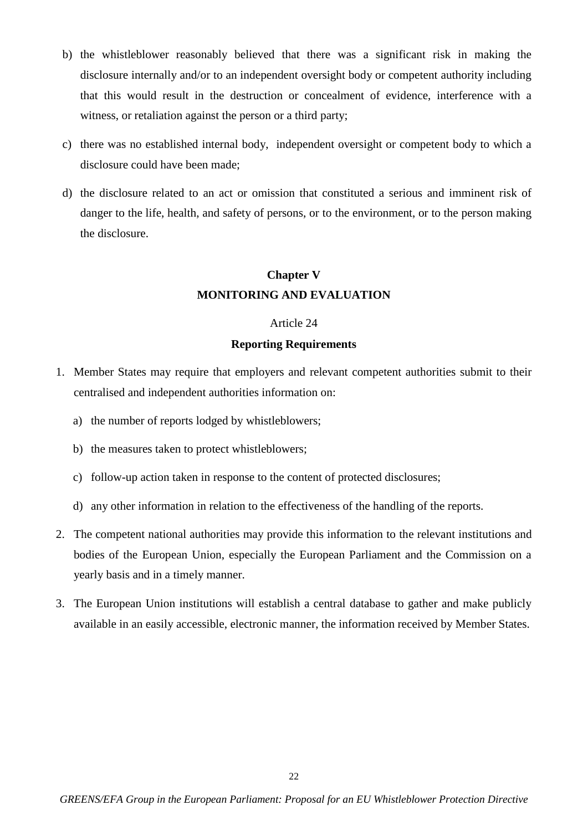- b) the whistleblower reasonably believed that there was a significant risk in making the disclosure internally and/or to an independent oversight body or competent authority including that this would result in the destruction or concealment of evidence, interference with a witness, or retaliation against the person or a third party;
- c) there was no established internal body, independent oversight or competent body to which a disclosure could have been made;
- d) the disclosure related to an act or omission that constituted a serious and imminent risk of danger to the life, health, and safety of persons, or to the environment, or to the person making the disclosure.

# **Chapter V MONITORING AND EVALUATION**

### Article 24

### **Reporting Requirements**

- 1. Member States may require that employers and relevant competent authorities submit to their centralised and independent authorities information on:
	- a) the number of reports lodged by whistleblowers;
	- b) the measures taken to protect whistleblowers;
	- c) follow-up action taken in response to the content of protected disclosures;
	- d) any other information in relation to the effectiveness of the handling of the reports.
- 2. The competent national authorities may provide this information to the relevant institutions and bodies of the European Union, especially the European Parliament and the Commission on a yearly basis and in a timely manner.
- 3. The European Union institutions will establish a central database to gather and make publicly available in an easily accessible, electronic manner, the information received by Member States.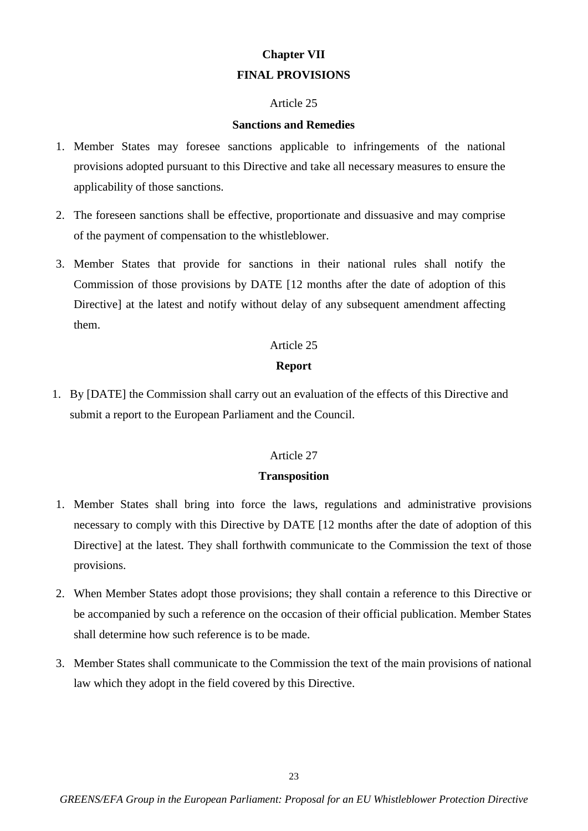# **Chapter VII FINAL PROVISIONS**

### Article 25

### **Sanctions and Remedies**

- 1. Member States may foresee sanctions applicable to infringements of the national provisions adopted pursuant to this Directive and take all necessary measures to ensure the applicability of those sanctions.
- 2. The foreseen sanctions shall be effective, proportionate and dissuasive and may comprise of the payment of compensation to the whistleblower.
- 3. Member States that provide for sanctions in their national rules shall notify the Commission of those provisions by DATE [12 months after the date of adoption of this Directive] at the latest and notify without delay of any subsequent amendment affecting them.

### Article 25

### **Report**

1. By [DATE] the Commission shall carry out an evaluation of the effects of this Directive and submit a report to the European Parliament and the Council.

### Article 27

### **Transposition**

- 1. Member States shall bring into force the laws, regulations and administrative provisions necessary to comply with this Directive by DATE [12 months after the date of adoption of this Directive] at the latest. They shall forthwith communicate to the Commission the text of those provisions.
- 2. When Member States adopt those provisions; they shall contain a reference to this Directive or be accompanied by such a reference on the occasion of their official publication. Member States shall determine how such reference is to be made.
- 3. Member States shall communicate to the Commission the text of the main provisions of national law which they adopt in the field covered by this Directive.